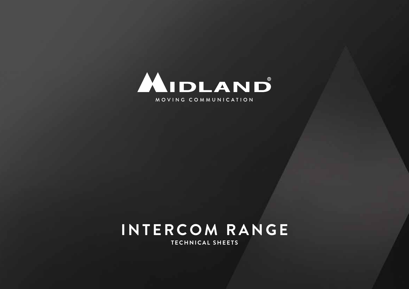

# **INTERCOM RANGE**

**TECHNICAL SHEETS**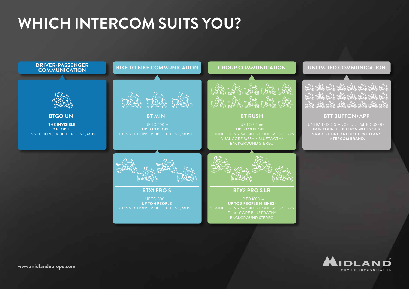# **WHICH INTERCOM SUITS YOU?**



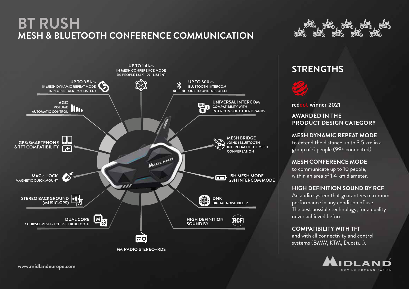# **BT RUSH MESH & BLUETOOTH CONFERENCE COMMUNICATION**





### **STRENGTHS**



winner 2021 red

#### **AWARDED IN THE PRODUCT DESIGN CATEGORY**

**MESH DYNAMIC REPEAT MODE** to extend the distance up to 3.5 km in a group of 6 people (99+ connected).

#### **MESH CONFERENCE MODE**

to communicate up to 10 people, within an area of 1.4 km diameter.

#### **HIGH DEFINITION SOUND BY RCF**

An audio system that guarantees maximum performance in any condition of use. The best possible technology, for a quality never achieved before.

#### **COMPATIBILITY WITH TFT**

and with all connectivity and control systems (BMW, KTM, Ducati...).

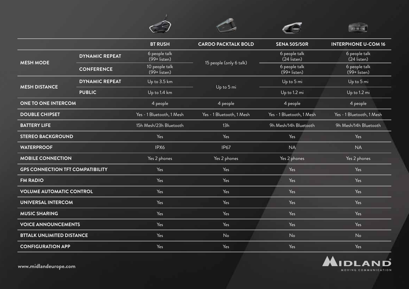|                                         |                       |                                   |                            |                                 | <b>EDITOR</b>                   |
|-----------------------------------------|-----------------------|-----------------------------------|----------------------------|---------------------------------|---------------------------------|
|                                         |                       | <b>BT RUSH</b>                    | <b>CARDO PACKTALK BOLD</b> | <b>SENA 50S/50R</b>             | <b>INTERPHONE U-COM 16</b>      |
| <b>MESH MODE</b>                        | <b>DYNAMIC REPEAT</b> | 6 people talk<br>(99+ listen)     | 15 people (only 6 talk)    | 6 people talk<br>(24 listen)    | 6 people talk<br>(24 listen)    |
|                                         | <b>CONFERENCE</b>     | 10 people talk<br>$(99 +$ listen) |                            | 6 people talk<br>$(99+$ listen) | 6 people talk<br>$(99+$ listen) |
| <b>MESH DISTANCE</b>                    | <b>DYNAMIC REPEAT</b> | Up to 3.5 km                      | Up to 5 mi                 | Up to 5 mi                      | Up to 5 mi                      |
|                                         | <b>PUBLIC</b>         | Up to 1.4 km                      |                            | Up to 1.2 mi                    | Up to 1.2 mi                    |
| <b>ONE TO ONE INTERCOM</b>              |                       | 4 people                          | 4 people                   | 4 people                        | 4 people                        |
| <b>DOUBLE CHIPSET</b>                   |                       | Yes - 1 Bluetooth, 1 Mesh         | Yes - 1 Bluetooth, 1 Mesh  | Yes - 1 Bluetooth, 1 Mesh       | Yes - 1 Bluetooth, 1 Mesh       |
| <b>BATTERY LIFE</b>                     |                       | 15h Mesh/23h Bluetooth            | 13h                        | 9h Mesh/14h Bluetooth           | 9h Mesh/14h Bluetooth           |
| <b>STEREO BACKGROUND</b>                |                       | Yes                               | Yes                        | Yes                             | Yes                             |
| <b>WATERPROOF</b>                       |                       | IPX6                              | <b>IP67</b>                | <b>NA</b>                       | <b>NA</b>                       |
| <b>MOBILE CONNECTION</b>                |                       | Yes 2 phones                      | Yes 2 phones               | Yes 2 phones                    | Yes 2 phones                    |
| <b>GPS CONNECTION TFT COMPATIBILITY</b> |                       | Yes                               | Yes                        | Yes                             | Yes                             |
| <b>FM RADIO</b>                         |                       | Yes                               | Yes                        | Yes                             | Yes                             |
| <b>VOLUME AUTOMATIC CONTROL</b>         |                       | Yes                               | Yes                        | Yes                             | Yes                             |
| <b>UNIVERSAL INTERCOM</b>               |                       | Yes                               | Yes                        | Yes                             | Yes                             |
| <b>MUSIC SHARING</b>                    |                       | Yes                               | Yes                        | Yes                             | Yes                             |
| <b>VOICE ANNOUNCEMENTS</b>              |                       | Yes                               | Yes                        | Yes                             | Yes                             |
| <b>BTTALK UNLIMITED DISTANCE</b>        |                       | Yes                               | No                         | No                              | No                              |
| <b>CONFIGURATION APP</b>                |                       | Yes                               | Yes                        | Yes                             | Yes                             |

 $\mathscr{F}$ 

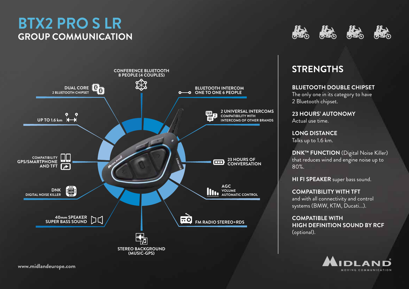# **BTX2 PRO S LR GROUP COMMUNICATION**





### **STRENGTHS**

**BLUETOOTH DOUBLE CHIPSET**

The only one in its category to have 2 Bluetooth chipset.

**23 HOURS' AUTONOMY** Actual use time.

**LONG DISTANCE** Talks up to 1.6 km.

**DNK™ FUNCTION** (Digital Noise Killer) that reduces wind and engine noise up to 80%.

**HI FI SPEAKER** super bass sound.

**COMPATIBILITY WITH TFT**  and with all connectivity and control systems (BMW, KTM, Ducati...).

**COMPATIBLE WITH HIGH DEFINITION SOUND BY RCF**  (optional).

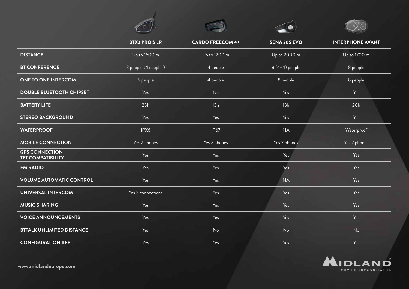|                                                   | <b>BTX2 PROSLR</b>   | <b>CARDO FREECOM 4+</b> | <b>SENA 20S EVO</b> | <b>INTERPHONE AVANT</b> |
|---------------------------------------------------|----------------------|-------------------------|---------------------|-------------------------|
| <b>DISTANCE</b>                                   | Up to 1600 m         | Up to 1200 m            | Up to 2000 m        | Up to 1700 m            |
| <b>BT CONFERENCE</b>                              | 8 people (4 couples) | 4 people                | 8 (4+4) people      | 8 people                |
| <b>ONE TO ONE INTERCOM</b>                        | 6 people             | 4 people                | 8 people            | 8 people                |
| <b>DOUBLE BLUETOOTH CHIPSET</b>                   | Yes                  | No                      | Yes                 | Yes                     |
| <b>BATTERY LIFE</b>                               | 23h                  | 13h                     | 13h                 | 20h                     |
| <b>STEREO BACKGROUND</b>                          | Yes                  | Yes                     | Yes                 | Yes                     |
| <b>WATERPROOF</b>                                 | IPX6                 | <b>IP67</b>             | <b>NA</b>           | Waterproof              |
| <b>MOBILE CONNECTION</b>                          | Yes 2 phones         | Yes 2 phones            | Yes 2 phones        | Yes 2 phones            |
| <b>GPS CONNECTION</b><br><b>TFT COMPATIBILITY</b> | Yes                  | Yes                     | Yes                 | Yes                     |
| <b>FM RADIO</b>                                   | Yes                  | Yes                     | Yes                 | Yes                     |
| <b>VOLUME AUTOMATIC CONTROL</b>                   | Yes                  | Yes                     | <b>NA</b>           | Yes                     |
| <b>UNIVERSAL INTERCOM</b>                         | Yes 2 connections    | Yes                     | Yes                 | Yes                     |
| <b>MUSIC SHARING</b>                              | Yes                  | Yes                     | Yes                 | Yes                     |
| <b>VOICE ANNOUNCEMENTS</b>                        | Yes                  | Yes                     | Yes                 | Yes                     |
| <b>BTTALK UNLIMITED DISTANCE</b>                  | Yes                  | No                      | No                  | No                      |
| <b>CONFIGURATION APP</b>                          | Yes                  | Yes                     | Yes                 | Yes                     |

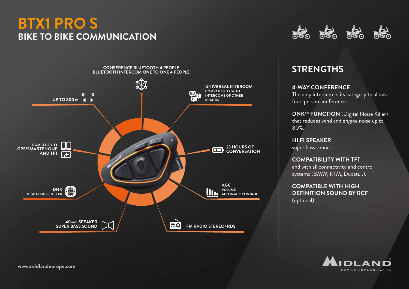### **BTX1 PRO S BIKE TO BIKE COMMUNICATION**



# 



### **STRENGTHS**

#### **4-WAY CONFERENCE**

The only intercom in its category to allow a four-person conference.

**DNK™ FUNCTION** (Digital Noise Killer) that reduces wind and engine noise up to 80%.

**HI FI SPEAKER** super bass sound.

**COMPATIBILITY WITH TFT**  and with all connectivity and control systems (BMW, KTM, Ducati...).

**COMPATIBLE WITH HIGH DEFINITION SOUND BY RCF**  (optional).

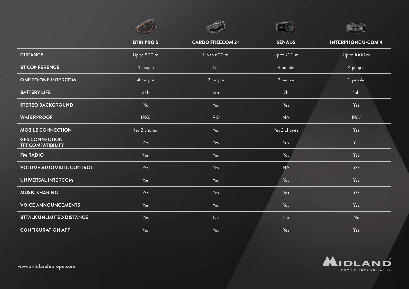|                                                   | <b>BTX1 PROS</b> | <b>CARDO FREECOM 2+</b> | <b>SENA 5S</b> | <b>INTERPHONE U-COM 4</b> |
|---------------------------------------------------|------------------|-------------------------|----------------|---------------------------|
| <b>DISTANCE</b>                                   | Up to 800 m      | Up to 600 m             | Up to 700 m    | Up to 1000 m              |
| <b>BT CONFERENCE</b>                              | 4 people         | No                      | 4 people       | 4 people                  |
| <b>ONE TO ONE INTERCOM</b>                        | 4 people         | 2 people                | 3 people       | 3 people                  |
| <b>BATTERY LIFE</b>                               | 23h              | 13h                     | 7h             | 15h                       |
| <b>STEREO BACKGROUND</b>                          | No               | Yes                     | Yes            | Yes                       |
| <b>WATERPROOF</b>                                 | IPX6             | <b>IP67</b>             | <b>NA</b>      | <b>IP67</b>               |
| <b>MOBILE CONNECTION</b>                          | Yes 2 phones     | Yes                     | Yes 2 phones   | Yes                       |
| <b>GPS CONNECTION</b><br><b>TFT COMPATIBILITY</b> | Yes              | Yes                     | Yes            | Yes                       |
| <b>FM RADIO</b>                                   | Yes              | Yes                     | Yes            | Yes                       |
| <b>VOLUME AUTOMATIC CONTROL</b>                   | Yes              | Yes                     | <b>NA</b>      | Yes                       |
| <b>UNIVERSAL INTERCOM</b>                         | Yes              | Yes                     | Yes            | Yes                       |
| <b>MUSIC SHARING</b>                              | Yes              | Yes                     | Yes            | Yes                       |
| <b>VOICE ANNOUNCEMENTS</b>                        | Yes              | Yes                     | Yes            | Yes                       |
| <b>BTTALK UNLIMITED DISTANCE</b>                  | Yes              | No                      | No             | No                        |
| <b>CONFIGURATION APP</b>                          | Yes              | Yes                     | Yes            | Yes                       |

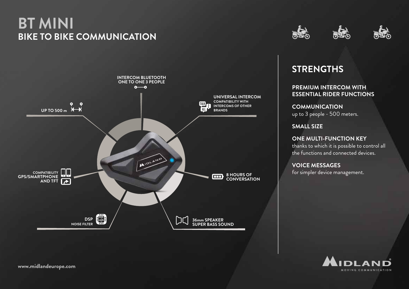# **BT MINI BIKE TO BIKE COMMUNICATION**







### **STRENGTHS**

**PREMIUM INTERCOM WITH ESSENTIAL RIDER FUNCTIONS**

**COMMUNICATION**  up to 3 people - 500 meters.

**SMALL SIZE**

**ONE MULTI-FUNCTION KEY** thanks to which it is possible to control all the functions and connected devices.

**VOICE MESSAGES** for simpler device management.